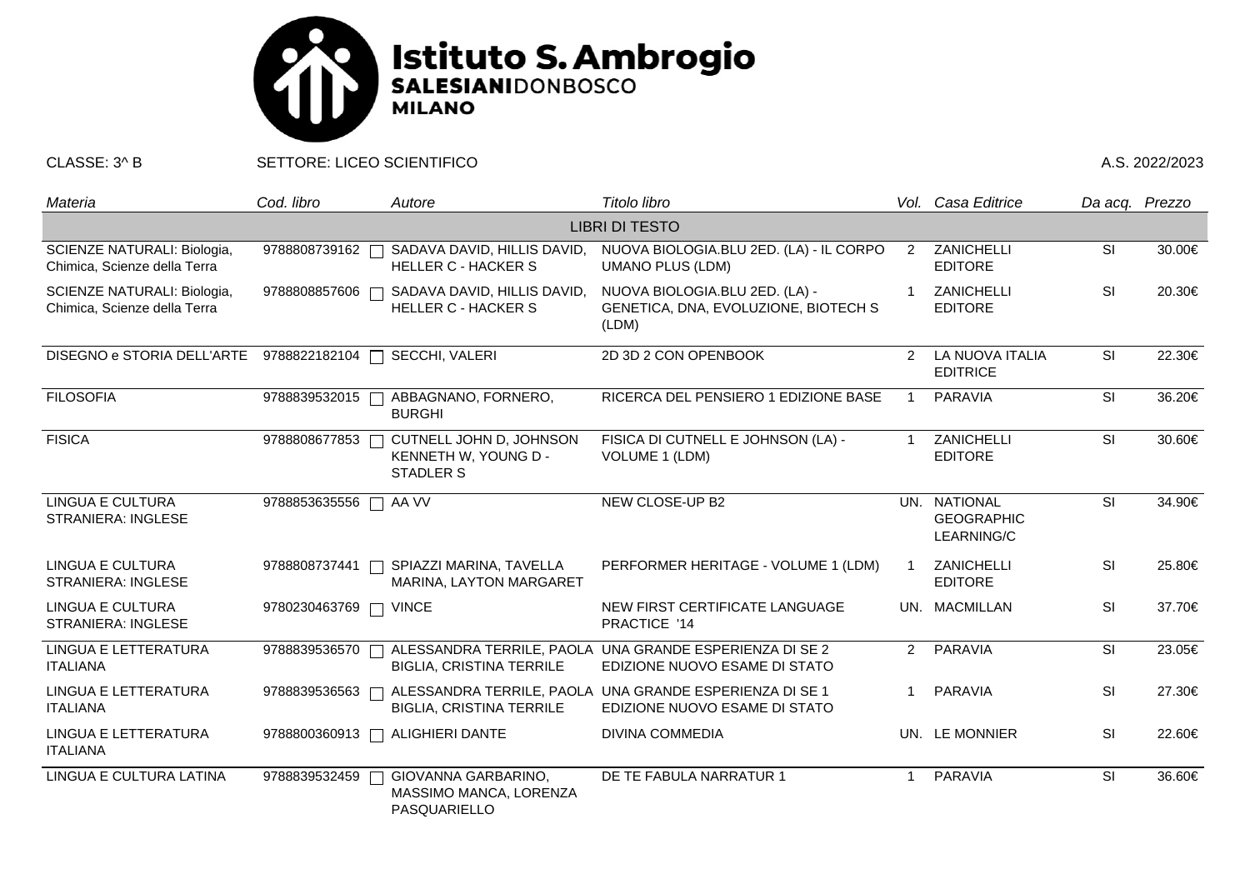

CLASSE: 3^ B SETTORE: LICEO SCIENTIFICO A.S. 2022/2023

| Materia                                                     | Cod. libro              | Autore                                                              | Titolo libro                                                                             |               | Vol. Casa Editrice                              | Da acq. Prezzo           |        |  |  |  |  |
|-------------------------------------------------------------|-------------------------|---------------------------------------------------------------------|------------------------------------------------------------------------------------------|---------------|-------------------------------------------------|--------------------------|--------|--|--|--|--|
| <b>LIBRI DI TESTO</b>                                       |                         |                                                                     |                                                                                          |               |                                                 |                          |        |  |  |  |  |
| SCIENZE NATURALI: Biologia,<br>Chimica, Scienze della Terra | 9788808739162           | SADAVA DAVID, HILLIS DAVID,<br><b>HELLER C - HACKER S</b>           | NUOVA BIOLOGIA.BLU 2ED. (LA) - IL CORPO<br><b>UMANO PLUS (LDM)</b>                       | 2             | ZANICHELLI<br><b>EDITORE</b>                    | <b>SI</b>                | 30.00€ |  |  |  |  |
| SCIENZE NATURALI: Biologia,<br>Chimica, Scienze della Terra | 9788808857606           | SADAVA DAVID, HILLIS DAVID,<br><b>HELLER C - HACKER S</b>           | NUOVA BIOLOGIA.BLU 2ED. (LA) -<br>GENETICA, DNA, EVOLUZIONE, BIOTECH S<br>(LDM)          |               | <b>ZANICHELLI</b><br><b>EDITORE</b>             | <b>SI</b>                | 20.30€ |  |  |  |  |
| DISEGNO e STORIA DELL'ARTE                                  | 9788822182104           | SECCHI, VALERI                                                      | 2D 3D 2 CON OPENBOOK                                                                     | $\mathcal{P}$ | LA NUOVA ITALIA<br><b>EDITRICE</b>              | <b>SI</b>                | 22.30€ |  |  |  |  |
| <b>FILOSOFIA</b>                                            | 9788839532015           | ABBAGNANO, FORNERO,<br><b>BURGHI</b>                                | RICERCA DEL PENSIERO 1 EDIZIONE BASE                                                     |               | <b>PARAVIA</b>                                  | SI                       | 36.20€ |  |  |  |  |
| <b>FISICA</b>                                               | 9788808677853           | CUTNELL JOHN D, JOHNSON<br>KENNETH W, YOUNG D -<br><b>STADLER S</b> | FISICA DI CUTNELL E JOHNSON (LA) -<br><b>VOLUME 1 (LDM)</b>                              |               | ZANICHELLI<br><b>EDITORE</b>                    | SI                       | 30.60€ |  |  |  |  |
| <b>LINGUA E CULTURA</b><br><b>STRANIERA: INGLESE</b>        | 9788853635556<br>$\Box$ | AA VV                                                               | NEW CLOSE-UP B2                                                                          |               | UN. NATIONAL<br><b>GEOGRAPHIC</b><br>LEARNING/C | <b>SI</b>                | 34.90€ |  |  |  |  |
| LINGUA E CULTURA<br><b>STRANIERA: INGLESE</b>               | 9788808737441           | SPIAZZI MARINA, TAVELLA<br>MARINA, LAYTON MARGARET                  | PERFORMER HERITAGE - VOLUME 1 (LDM)                                                      |               | ZANICHELLI<br><b>EDITORE</b>                    | <b>SI</b>                | 25.80€ |  |  |  |  |
| <b>LINGUA E CULTURA</b><br><b>STRANIERA: INGLESE</b>        | 9780230463769           | <b>VINCE</b>                                                        | NEW FIRST CERTIFICATE LANGUAGE<br>PRACTICE '14                                           |               | UN. MACMILLAN                                   | <b>SI</b>                | 37.70€ |  |  |  |  |
| LINGUA E LETTERATURA<br><b>ITALIANA</b>                     | 9788839536570           | <b>BIGLIA, CRISTINA TERRILE</b>                                     | ALESSANDRA TERRILE, PAOLA UNA GRANDE ESPERIENZA DI SE 2<br>EDIZIONE NUOVO ESAME DI STATO |               | 2 PARAVIA                                       | $\overline{\mathsf{SI}}$ | 23.05€ |  |  |  |  |
| LINGUA E LETTERATURA<br><b>ITALIANA</b>                     | 9788839536563           | <b>BIGLIA, CRISTINA TERRILE</b>                                     | ALESSANDRA TERRILE, PAOLA UNA GRANDE ESPERIENZA DI SE 1<br>EDIZIONE NUOVO ESAME DI STATO |               | PARAVIA                                         | <b>SI</b>                | 27.30€ |  |  |  |  |
| LINGUA E LETTERATURA<br><b>ITALIANA</b>                     |                         | 9788800360913   ALIGHIERI DANTE                                     | <b>DIVINA COMMEDIA</b>                                                                   |               | UN. LE MONNIER                                  | SI                       | 22.60€ |  |  |  |  |
| LINGUA E CULTURA LATINA                                     | 9788839532459           | GIOVANNA GARBARINO,<br>MASSIMO MANCA, LORENZA<br>PASQUARIELLO       | DE TE FABULA NARRATUR 1                                                                  | -1            | PARAVIA                                         | SI                       | 36.60€ |  |  |  |  |